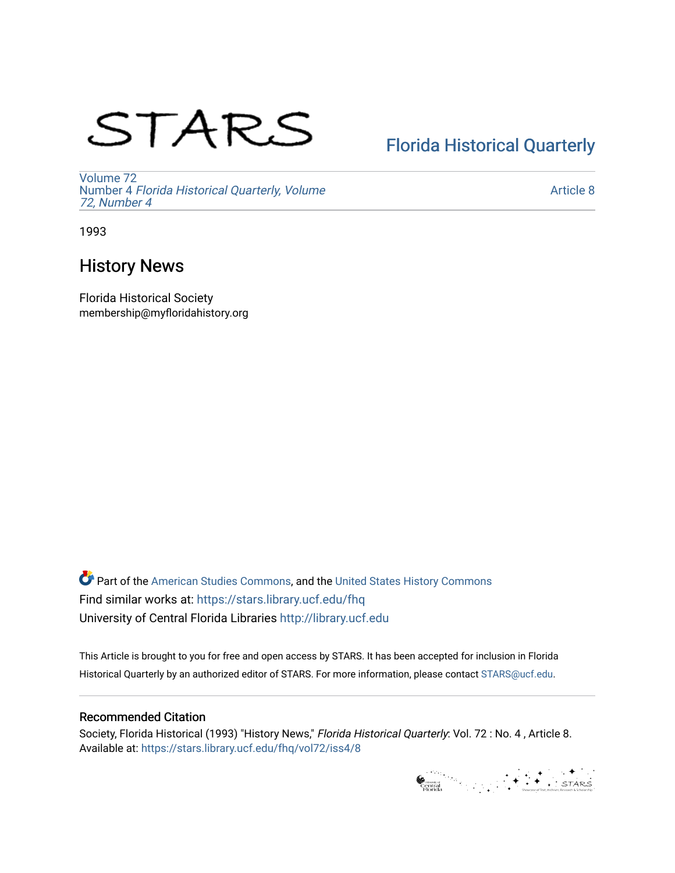# STARS

# [Florida Historical Quarterly](https://stars.library.ucf.edu/fhq)

[Volume 72](https://stars.library.ucf.edu/fhq/vol72) Number 4 [Florida Historical Quarterly, Volume](https://stars.library.ucf.edu/fhq/vol72/iss4)  [72, Number 4](https://stars.library.ucf.edu/fhq/vol72/iss4)

[Article 8](https://stars.library.ucf.edu/fhq/vol72/iss4/8) 

1993

## History News

Florida Historical Society membership@myfloridahistory.org

**C** Part of the [American Studies Commons](http://network.bepress.com/hgg/discipline/439?utm_source=stars.library.ucf.edu%2Ffhq%2Fvol72%2Fiss4%2F8&utm_medium=PDF&utm_campaign=PDFCoverPages), and the United States History Commons Find similar works at: <https://stars.library.ucf.edu/fhq> University of Central Florida Libraries [http://library.ucf.edu](http://library.ucf.edu/) 

This Article is brought to you for free and open access by STARS. It has been accepted for inclusion in Florida Historical Quarterly by an authorized editor of STARS. For more information, please contact [STARS@ucf.edu.](mailto:STARS@ucf.edu)

## Recommended Citation

Society, Florida Historical (1993) "History News," Florida Historical Quarterly: Vol. 72 : No. 4 , Article 8. Available at: [https://stars.library.ucf.edu/fhq/vol72/iss4/8](https://stars.library.ucf.edu/fhq/vol72/iss4/8?utm_source=stars.library.ucf.edu%2Ffhq%2Fvol72%2Fiss4%2F8&utm_medium=PDF&utm_campaign=PDFCoverPages) 

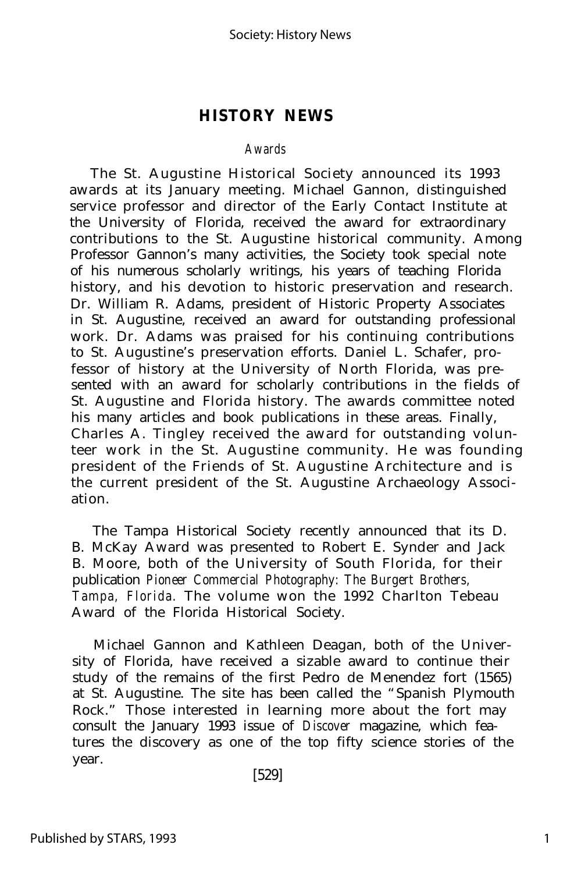### **HISTORY NEWS**

#### *Awards*

The St. Augustine Historical Society announced its 1993 awards at its January meeting. Michael Gannon, distinguished service professor and director of the Early Contact Institute at the University of Florida, received the award for extraordinary contributions to the St. Augustine historical community. Among Professor Gannon's many activities, the Society took special note of his numerous scholarly writings, his years of teaching Florida history, and his devotion to historic preservation and research. Dr. William R. Adams, president of Historic Property Associates in St. Augustine, received an award for outstanding professional work. Dr. Adams was praised for his continuing contributions to St. Augustine's preservation efforts. Daniel L. Schafer, professor of history at the University of North Florida, was presented with an award for scholarly contributions in the fields of St. Augustine and Florida history. The awards committee noted his many articles and book publications in these areas. Finally, Charles A. Tingley received the award for outstanding volunteer work in the St. Augustine community. He was founding president of the Friends of St. Augustine Architecture and is the current president of the St. Augustine Archaeology Association.

The Tampa Historical Society recently announced that its D. B. McKay Award was presented to Robert E. Synder and Jack B. Moore, both of the University of South Florida, for their publication *Pioneer Commercial Photography: The Burgert Brothers, Tampa, Florida.* The volume won the 1992 Charlton Tebeau Award of the Florida Historical Society.

Michael Gannon and Kathleen Deagan, both of the University of Florida, have received a sizable award to continue their study of the remains of the first Pedro de Menendez fort (1565) at St. Augustine. The site has been called the "Spanish Plymouth Rock." Those interested in learning more about the fort may consult the January 1993 issue of *Discover* magazine, which features the discovery as one of the top fifty science stories of the year.

[529]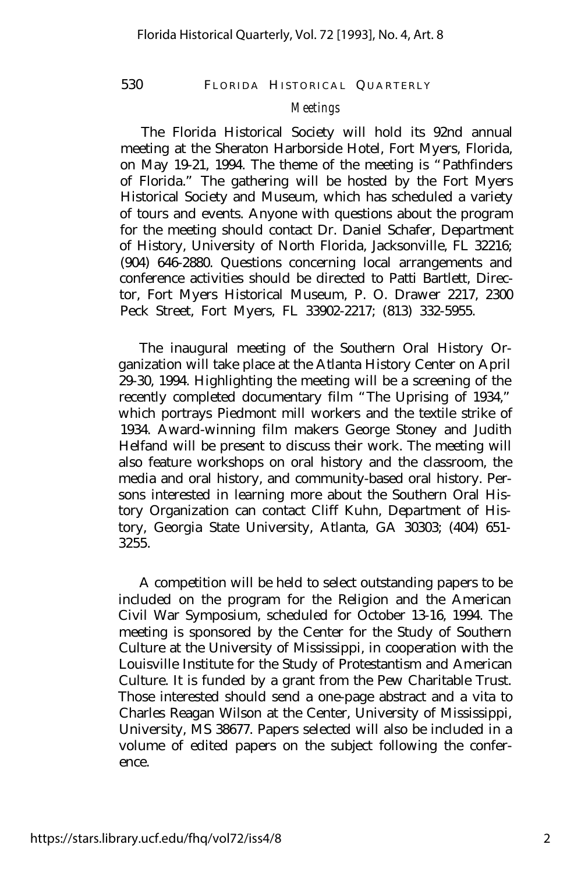#### 530 FLORIDA HISTORICAL QUARTERLY

#### *Meetings*

The Florida Historical Society will hold its 92nd annual meeting at the Sheraton Harborside Hotel, Fort Myers, Florida, on May 19-21, 1994. The theme of the meeting is "Pathfinders of Florida." The gathering will be hosted by the Fort Myers Historical Society and Museum, which has scheduled a variety of tours and events. Anyone with questions about the program for the meeting should contact Dr. Daniel Schafer, Department of History, University of North Florida, Jacksonville, FL 32216; (904) 646-2880. Questions concerning local arrangements and conference activities should be directed to Patti Bartlett, Director, Fort Myers Historical Museum, P. O. Drawer 2217, 2300 Peck Street, Fort Myers, FL 33902-2217; (813) 332-5955.

The inaugural meeting of the Southern Oral History Organization will take place at the Atlanta History Center on April 29-30, 1994. Highlighting the meeting will be a screening of the recently completed documentary film "The Uprising of 1934," which portrays Piedmont mill workers and the textile strike of 1934. Award-winning film makers George Stoney and Judith Helfand will be present to discuss their work. The meeting will also feature workshops on oral history and the classroom, the media and oral history, and community-based oral history. Persons interested in learning more about the Southern Oral History Organization can contact Cliff Kuhn, Department of History, Georgia State University, Atlanta, GA 30303; (404) 651- 3255.

A competition will be held to select outstanding papers to be included on the program for the Religion and the American Civil War Symposium, scheduled for October 13-16, 1994. The meeting is sponsored by the Center for the Study of Southern Culture at the University of Mississippi, in cooperation with the Louisville Institute for the Study of Protestantism and American Culture. It is funded by a grant from the Pew Charitable Trust. Those interested should send a one-page abstract and a vita to Charles Reagan Wilson at the Center, University of Mississippi, University, MS 38677. Papers selected will also be included in a volume of edited papers on the subject following the conference.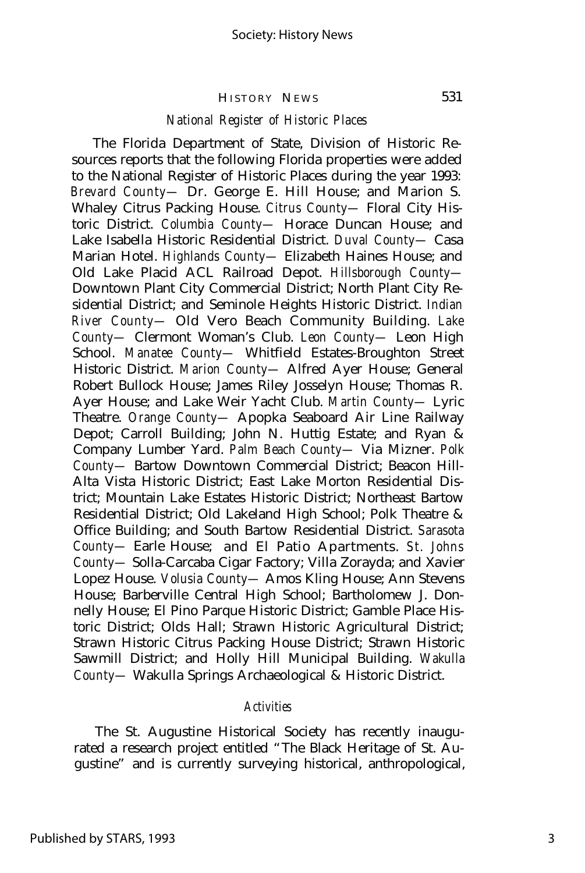#### HISTORY NEWS

#### *National Register of Historic Places*

The Florida Department of State, Division of Historic Resources reports that the following Florida properties were added to the National Register of Historic Places during the year 1993: *Brevard County—* Dr. George E. Hill House; and Marion S. Whaley Citrus Packing House. *Citrus County—* Floral City Historic District. *Columbia County—* Horace Duncan House; and Lake Isabella Historic Residential District. *Duval County—* Casa Marian Hotel. *Highlands County—* Elizabeth Haines House; and Old Lake Placid ACL Railroad Depot. *Hillsborough County—* Downtown Plant City Commercial District; North Plant City Residential District; and Seminole Heights Historic District. *Indian River County—* Old Vero Beach Community Building. *Lake County—* Clermont Woman's Club. *Leon County—* Leon High School. *Manatee County—* Whitfield Estates-Broughton Street Historic District. *Marion County—* Alfred Ayer House; General Robert Bullock House; James Riley Josselyn House; Thomas R. Ayer House; and Lake Weir Yacht Club. *Martin County—* Lyric Theatre. *Orange County—* Apopka Seaboard Air Line Railway Depot; Carroll Building; John N. Huttig Estate; and Ryan & Company Lumber Yard. *Palm Beach County—* Via Mizner. *Polk County—* Bartow Downtown Commercial District; Beacon Hill-Alta Vista Historic District; East Lake Morton Residential District; Mountain Lake Estates Historic District; Northeast Bartow Residential District; Old Lakeland High School; Polk Theatre & Office Building; and South Bartow Residential District. *Sarasota County—* Earle House; and El Patio Apartments. *St. Johns County—* Solla-Carcaba Cigar Factory; Villa Zorayda; and Xavier Lopez House. *Volusia County—* Amos Kling House; Ann Stevens House; Barberville Central High School; Bartholomew J. Donnelly House; El Pino Parque Historic District; Gamble Place Historic District; Olds Hall; Strawn Historic Agricultural District; Strawn Historic Citrus Packing House District; Strawn Historic Sawmill District; and Holly Hill Municipal Building. *Wakulla County—* Wakulla Springs Archaeological & Historic District.

#### *Activities*

The St. Augustine Historical Society has recently inaugurated a research project entitled "The Black Heritage of St. Augustine" and is currently surveying historical, anthropological,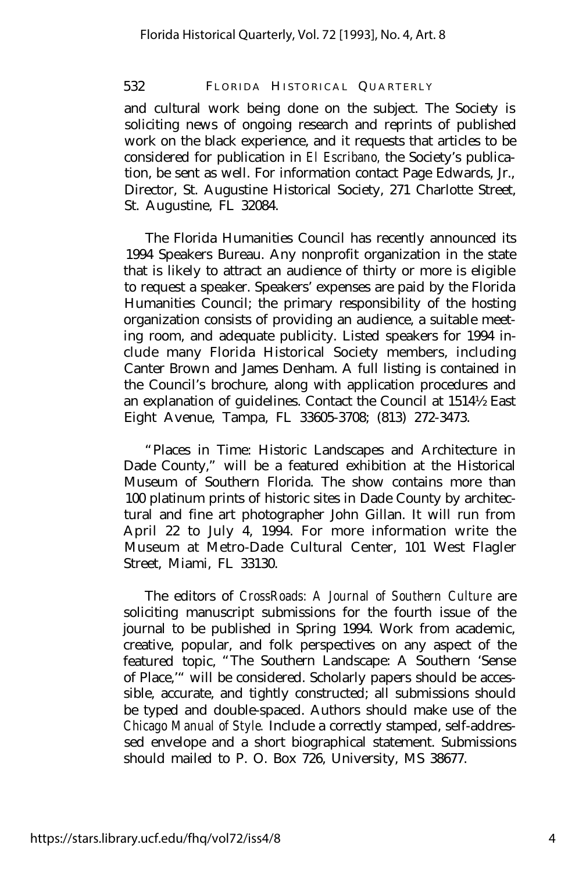532 FLORIDA HISTORICAL QUARTERLY

and cultural work being done on the subject. The Society is soliciting news of ongoing research and reprints of published work on the black experience, and it requests that articles to be considered for publication in *El Escribano,* the Society's publication, be sent as well. For information contact Page Edwards, Jr., Director, St. Augustine Historical Society, 271 Charlotte Street, St. Augustine, FL 32084.

The Florida Humanities Council has recently announced its 1994 Speakers Bureau. Any nonprofit organization in the state that is likely to attract an audience of thirty or more is eligible to request a speaker. Speakers' expenses are paid by the Florida Humanities Council; the primary responsibility of the hosting organization consists of providing an audience, a suitable meeting room, and adequate publicity. Listed speakers for 1994 include many Florida Historical Society members, including Canter Brown and James Denham. A full listing is contained in the Council's brochure, along with application procedures and an explanation of guidelines. Contact the Council at 1514½ East Eight Avenue, Tampa, FL 33605-3708; (813) 272-3473.

"Places in Time: Historic Landscapes and Architecture in Dade County," will be a featured exhibition at the Historical Museum of Southern Florida. The show contains more than 100 platinum prints of historic sites in Dade County by architectural and fine art photographer John Gillan. It will run from April 22 to July 4, 1994. For more information write the Museum at Metro-Dade Cultural Center, 101 West Flagler Street, Miami, FL 33130.

The editors of *CrossRoads: A Journal of Southern Culture* are soliciting manuscript submissions for the fourth issue of the journal to be published in Spring 1994. Work from academic, creative, popular, and folk perspectives on any aspect of the featured topic, "The Southern Landscape: A Southern 'Sense of Place,'" will be considered. Scholarly papers should be accessible, accurate, and tightly constructed; all submissions should be typed and double-spaced. Authors should make use of the *Chicago Manual of Style.* Include a correctly stamped, self-addressed envelope and a short biographical statement. Submissions should mailed to P. O. Box 726, University, MS 38677.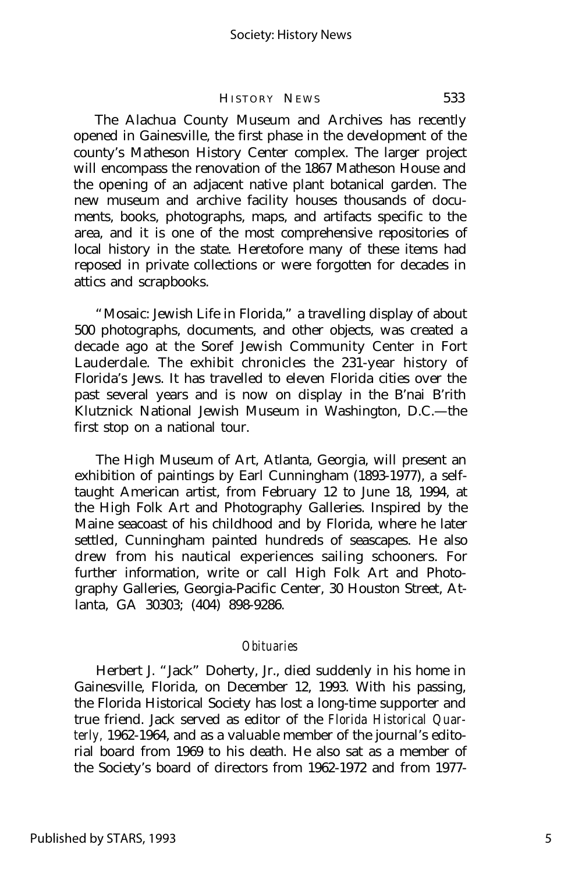#### HISTORY NEWS 533

The Alachua County Museum and Archives has recently opened in Gainesville, the first phase in the development of the county's Matheson History Center complex. The larger project will encompass the renovation of the 1867 Matheson House and the opening of an adjacent native plant botanical garden. The new museum and archive facility houses thousands of documents, books, photographs, maps, and artifacts specific to the area, and it is one of the most comprehensive repositories of local history in the state. Heretofore many of these items had reposed in private collections or were forgotten for decades in attics and scrapbooks.

"Mosaic: Jewish Life in Florida," a travelling display of about 500 photographs, documents, and other objects, was created a decade ago at the Soref Jewish Community Center in Fort Lauderdale. The exhibit chronicles the 231-year history of Florida's Jews. It has travelled to eleven Florida cities over the past several years and is now on display in the B'nai B'rith Klutznick National Jewish Museum in Washington, D.C.— the first stop on a national tour.

The High Museum of Art, Atlanta, Georgia, will present an exhibition of paintings by Earl Cunningham (1893-1977), a selftaught American artist, from February 12 to June 18, 1994, at the High Folk Art and Photography Galleries. Inspired by the Maine seacoast of his childhood and by Florida, where he later settled, Cunningham painted hundreds of seascapes. He also drew from his nautical experiences sailing schooners. For further information, write or call High Folk Art and Photography Galleries, Georgia-Pacific Center, 30 Houston Street, Atlanta, GA 30303; (404) 898-9286.

#### *Obituaries*

Herbert J. "Jack" Doherty, Jr., died suddenly in his home in Gainesville, Florida, on December 12, 1993. With his passing, the Florida Historical Society has lost a long-time supporter and true friend. Jack served as editor of the *Florida Historical Quarterly,* 1962-1964, and as a valuable member of the journal's editorial board from 1969 to his death. He also sat as a member of the Society's board of directors from 1962-1972 and from 1977-